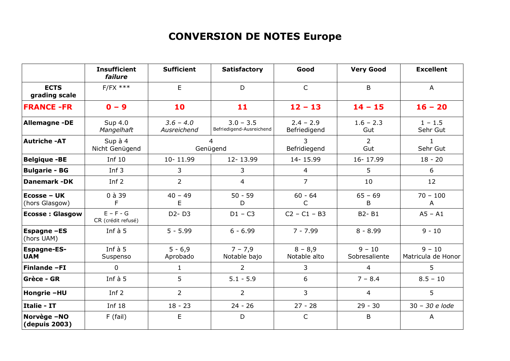## **CONVERSION DE NOTES Europe**

|                                  | <b>Insufficient</b><br>failure    | <b>Sufficient</b>          | <b>Satisfactory</b>                     | Good                        | <b>Very Good</b>          | <b>Excellent</b>               |
|----------------------------------|-----------------------------------|----------------------------|-----------------------------------------|-----------------------------|---------------------------|--------------------------------|
| <b>ECTS</b><br>grading scale     | $F/FX$ ***                        | E                          | D                                       | $\mathsf{C}$                | B                         | A                              |
| <b>FRANCE -FR</b>                | $0 - 9$                           | 10                         | 11                                      | $12 - 13$                   | $14 - 15$                 | $16 - 20$                      |
| <b>Allemagne -DE</b>             | Sup 4.0<br>Mangelhaft             | $3.6 - 4.0$<br>Ausreichend | $3.0 - 3.5$<br>Befriedigend-Ausreichend | $2.4 - 2.9$<br>Befriedigend | $1.6 - 2.3$<br>Gut        | $1 - 1.5$<br>Sehr Gut          |
| <b>Autriche-AT</b>               | Sup à 4<br>Nicht Genügend         | 4<br>Genügend              |                                         | 3<br>Befridiegend           | $\overline{2}$<br>Gut     | $\mathbf{1}$<br>Sehr Gut       |
| <b>Belgique -BE</b>              | Inf $10$                          | 10-11.99                   | 12-13.99                                | 14-15.99                    | 16-17.99                  | $18 - 20$                      |
| <b>Bulgarie - BG</b>             | Inf $3$                           | 3                          | 3                                       | $\overline{4}$              | 5                         | 6                              |
| <b>Danemark-DK</b>               | Inf $2$                           | $\overline{2}$             | $\overline{4}$                          | $\overline{7}$              | 10                        | $12 \overline{ }$              |
| Ecosse - UK<br>(hors Glasgow)    | $0$ à 39<br>F                     | $40 - 49$<br>E             | $50 - 59$<br>D                          | $60 - 64$<br>$\mathsf{C}$   | $65 - 69$<br>B            | $70 - 100$<br>Α                |
| <b>Ecosse: Glasgow</b>           | $E - F - G$<br>CR (crédit refusé) | $D2 - D3$                  | $D1 - C3$                               | $C2 - C1 - B3$              | B2-B1                     | $AS - A1$                      |
| <b>Espagne -ES</b><br>(hors UAM) | Inf $\grave{a}$ 5                 | $5 - 5.99$                 | $6 - 6.99$                              | $7 - 7.99$                  | $8 - 8.99$                | $9 - 10$                       |
| <b>Espagne-ES-</b><br><b>UAM</b> | Inf $\grave{a}$ 5<br>Suspenso     | $5 - 6,9$<br>Aprobado      | $7 - 7,9$<br>Notable bajo               | $8 - 8,9$<br>Notable alto   | $9 - 10$<br>Sobresaliente | $9 - 10$<br>Matricula de Honor |
| Finlande-FI                      | $\mathbf 0$                       | $\mathbf{1}$               | $\overline{2}$                          | 3                           | 4                         | 5                              |
| <b>Grèce - GR</b>                | Inf $\grave{a}$ 5                 | 5                          | $5.1 - 5.9$                             | 6<br>$7 - 8.4$              |                           | $8.5 - 10$                     |
| Hongrie -HU                      | Inf $2$                           | $\overline{2}$             | $\overline{2}$                          | 3<br>4                      |                           | 5                              |
| Italie - IT                      | <b>Inf 18</b>                     | $18 - 23$                  | $24 - 26$                               | $27 - 28$<br>$29 - 30$      |                           | 30 - 30 e lode                 |
| Norvège-NO<br>(depuis 2003)      | $F$ (fail)                        | E                          | D                                       | $\mathsf{C}$<br>B           |                           | A                              |